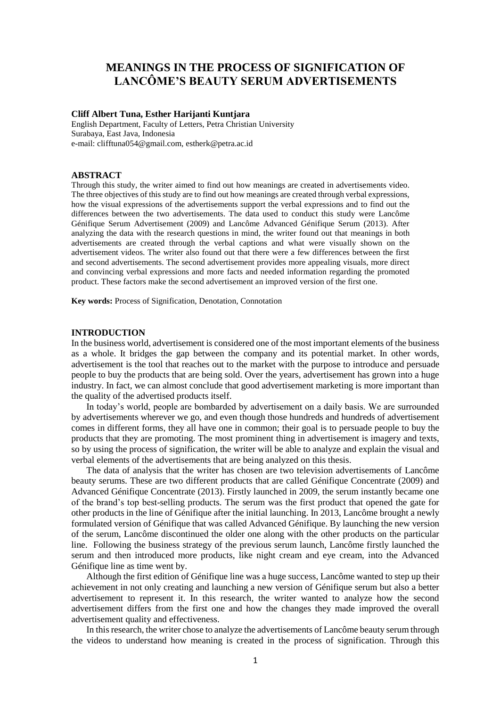# **MEANINGS IN THE PROCESS OF SIGNIFICATION OF LANCÔME'S BEAUTY SERUM ADVERTISEMENTS**

## **Cliff Albert Tuna, Esther Harijanti Kuntjara**

English Department, Faculty of Letters, Petra Christian University Surabaya, East Java, Indonesia e-mail: clifftuna054@gmail.com, estherk@petra.ac.id

## **ABSTRACT**

Through this study, the writer aimed to find out how meanings are created in advertisements video. The three objectives of this study are to find out how meanings are created through verbal expressions, how the visual expressions of the advertisements support the verbal expressions and to find out the differences between the two advertisements. The data used to conduct this study were Lancôme Génifique Serum Advertisement (2009) and Lancôme Advanced Génifique Serum (2013). After analyzing the data with the research questions in mind, the writer found out that meanings in both advertisements are created through the verbal captions and what were visually shown on the advertisement videos. The writer also found out that there were a few differences between the first and second advertisements. The second advertisement provides more appealing visuals, more direct and convincing verbal expressions and more facts and needed information regarding the promoted product. These factors make the second advertisement an improved version of the first one.

**Key words:** Process of Signification, Denotation, Connotation

# **INTRODUCTION**

In the business world, advertisement is considered one of the most important elements of the business as a whole. It bridges the gap between the company and its potential market. In other words, advertisement is the tool that reaches out to the market with the purpose to introduce and persuade people to buy the products that are being sold. Over the years, advertisement has grown into a huge industry. In fact, we can almost conclude that good advertisement marketing is more important than the quality of the advertised products itself.

In today's world, people are bombarded by advertisement on a daily basis. We are surrounded by advertisements wherever we go, and even though those hundreds and hundreds of advertisement comes in different forms, they all have one in common; their goal is to persuade people to buy the products that they are promoting. The most prominent thing in advertisement is imagery and texts, so by using the process of signification, the writer will be able to analyze and explain the visual and verbal elements of the advertisements that are being analyzed on this thesis.

The data of analysis that the writer has chosen are two television advertisements of Lancôme beauty serums. These are two different products that are called Génifique Concentrate (2009) and Advanced Génifique Concentrate (2013). Firstly launched in 2009, the serum instantly became one of the brand's top best-selling products. The serum was the first product that opened the gate for other products in the line of Génifique after the initial launching. In 2013, Lancôme brought a newly formulated version of Génifique that was called Advanced Génifique. By launching the new version of the serum, Lancôme discontinued the older one along with the other products on the particular line. Following the business strategy of the previous serum launch, Lancôme firstly launched the serum and then introduced more products, like night cream and eye cream, into the Advanced Génifique line as time went by.

Although the first edition of Génifique line was a huge success, Lancôme wanted to step up their achievement in not only creating and launching a new version of Génifique serum but also a better advertisement to represent it. In this research, the writer wanted to analyze how the second advertisement differs from the first one and how the changes they made improved the overall advertisement quality and effectiveness.

In this research, the writer chose to analyze the advertisements of Lancôme beauty serum through the videos to understand how meaning is created in the process of signification. Through this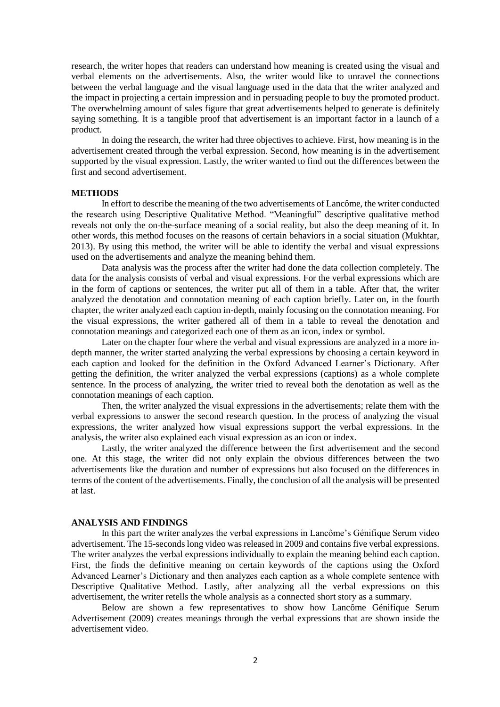research, the writer hopes that readers can understand how meaning is created using the visual and verbal elements on the advertisements. Also, the writer would like to unravel the connections between the verbal language and the visual language used in the data that the writer analyzed and the impact in projecting a certain impression and in persuading people to buy the promoted product. The overwhelming amount of sales figure that great advertisements helped to generate is definitely saying something. It is a tangible proof that advertisement is an important factor in a launch of a product.

In doing the research, the writer had three objectives to achieve. First, how meaning is in the advertisement created through the verbal expression. Second, how meaning is in the advertisement supported by the visual expression. Lastly, the writer wanted to find out the differences between the first and second advertisement.

#### **METHODS**

In effort to describe the meaning of the two advertisements of Lancôme, the writer conducted the research using Descriptive Qualitative Method. "Meaningful" descriptive qualitative method reveals not only the on-the-surface meaning of a social reality, but also the deep meaning of it. In other words, this method focuses on the reasons of certain behaviors in a social situation (Mukhtar, 2013). By using this method, the writer will be able to identify the verbal and visual expressions used on the advertisements and analyze the meaning behind them.

Data analysis was the process after the writer had done the data collection completely. The data for the analysis consists of verbal and visual expressions. For the verbal expressions which are in the form of captions or sentences, the writer put all of them in a table. After that, the writer analyzed the denotation and connotation meaning of each caption briefly. Later on, in the fourth chapter, the writer analyzed each caption in-depth, mainly focusing on the connotation meaning. For the visual expressions, the writer gathered all of them in a table to reveal the denotation and connotation meanings and categorized each one of them as an icon, index or symbol.

Later on the chapter four where the verbal and visual expressions are analyzed in a more indepth manner, the writer started analyzing the verbal expressions by choosing a certain keyword in each caption and looked for the definition in the Oxford Advanced Learner's Dictionary. After getting the definition, the writer analyzed the verbal expressions (captions) as a whole complete sentence. In the process of analyzing, the writer tried to reveal both the denotation as well as the connotation meanings of each caption.

Then, the writer analyzed the visual expressions in the advertisements; relate them with the verbal expressions to answer the second research question. In the process of analyzing the visual expressions, the writer analyzed how visual expressions support the verbal expressions. In the analysis, the writer also explained each visual expression as an icon or index.

Lastly, the writer analyzed the difference between the first advertisement and the second one. At this stage, the writer did not only explain the obvious differences between the two advertisements like the duration and number of expressions but also focused on the differences in terms of the content of the advertisements. Finally, the conclusion of all the analysis will be presented at last.

# **ANALYSIS AND FINDINGS**

In this part the writer analyzes the verbal expressions in Lancôme's Génifique Serum video advertisement. The 15-seconds long video was released in 2009 and contains five verbal expressions. The writer analyzes the verbal expressions individually to explain the meaning behind each caption. First, the finds the definitive meaning on certain keywords of the captions using the Oxford Advanced Learner's Dictionary and then analyzes each caption as a whole complete sentence with Descriptive Qualitative Method. Lastly, after analyzing all the verbal expressions on this advertisement, the writer retells the whole analysis as a connected short story as a summary.

Below are shown a few representatives to show how Lancôme Génifique Serum Advertisement (2009) creates meanings through the verbal expressions that are shown inside the advertisement video.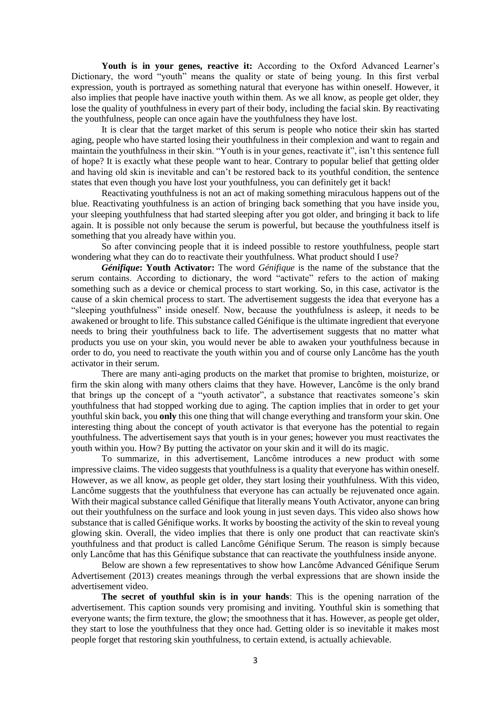Youth is in your genes, reactive it: According to the Oxford Advanced Learner's Dictionary, the word "youth" means the quality or state of being young. In this first verbal expression, youth is portrayed as something natural that everyone has within oneself. However, it also implies that people have inactive youth within them. As we all know, as people get older, they lose the quality of youthfulness in every part of their body, including the facial skin. By reactivating the youthfulness, people can once again have the youthfulness they have lost.

It is clear that the target market of this serum is people who notice their skin has started aging, people who have started losing their youthfulness in their complexion and want to regain and maintain the youthfulness in their skin. "Youth is in your genes, reactivate it", isn't this sentence full of hope? It is exactly what these people want to hear. Contrary to popular belief that getting older and having old skin is inevitable and can't be restored back to its youthful condition, the sentence states that even though you have lost your youthfulness, you can definitely get it back!

Reactivating youthfulness is not an act of making something miraculous happens out of the blue. Reactivating youthfulness is an action of bringing back something that you have inside you, your sleeping youthfulness that had started sleeping after you got older, and bringing it back to life again. It is possible not only because the serum is powerful, but because the youthfulness itself is something that you already have within you.

So after convincing people that it is indeed possible to restore youthfulness, people start wondering what they can do to reactivate their youthfulness. What product should I use?

*Génifique***: Youth Activator:** The word *Génifique* is the name of the substance that the serum contains. According to dictionary, the word "activate" refers to the action of making something such as a device or chemical process to start working. So, in this case, activator is the cause of a skin chemical process to start. The advertisement suggests the idea that everyone has a "sleeping youthfulness" inside oneself. Now, because the youthfulness is asleep, it needs to be awakened or brought to life. This substance called Génifique is the ultimate ingredient that everyone needs to bring their youthfulness back to life. The advertisement suggests that no matter what products you use on your skin, you would never be able to awaken your youthfulness because in order to do, you need to reactivate the youth within you and of course only Lancôme has the youth activator in their serum.

There are many anti-aging products on the market that promise to brighten, moisturize, or firm the skin along with many others claims that they have. However, Lancôme is the only brand that brings up the concept of a "youth activator", a substance that reactivates someone's skin youthfulness that had stopped working due to aging. The caption implies that in order to get your youthful skin back, you **only** this one thing that will change everything and transform your skin. One interesting thing about the concept of youth activator is that everyone has the potential to regain youthfulness. The advertisement says that youth is in your genes; however you must reactivates the youth within you. How? By putting the activator on your skin and it will do its magic.

To summarize, in this advertisement, Lancôme introduces a new product with some impressive claims. The video suggests that youthfulness is a quality that everyone has within oneself. However, as we all know, as people get older, they start losing their youthfulness. With this video, Lancôme suggests that the youthfulness that everyone has can actually be rejuvenated once again. With their magical substance called Génifique that literally means Youth Activator, anyone can bring out their youthfulness on the surface and look young in just seven days. This video also shows how substance that is called Génifique works. It works by boosting the activity of the skin to reveal young glowing skin. Overall, the video implies that there is only one product that can reactivate skin's youthfulness and that product is called Lancôme Génifique Serum. The reason is simply because only Lancôme that has this Génifique substance that can reactivate the youthfulness inside anyone.

Below are shown a few representatives to show how Lancôme Advanced Génifique Serum Advertisement (2013) creates meanings through the verbal expressions that are shown inside the advertisement video.

**The secret of youthful skin is in your hands**: This is the opening narration of the advertisement. This caption sounds very promising and inviting. Youthful skin is something that everyone wants; the firm texture, the glow; the smoothness that it has. However, as people get older, they start to lose the youthfulness that they once had. Getting older is so inevitable it makes most people forget that restoring skin youthfulness, to certain extend, is actually achievable.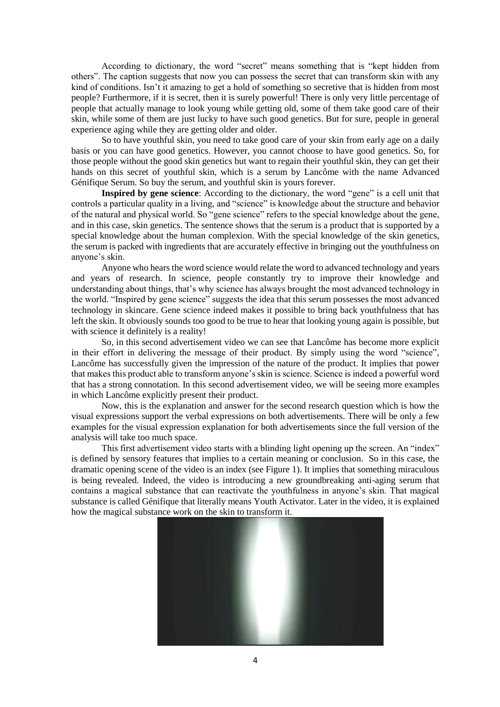According to dictionary, the word "secret" means something that is "kept hidden from others". The caption suggests that now you can possess the secret that can transform skin with any kind of conditions. Isn't it amazing to get a hold of something so secretive that is hidden from most people? Furthermore, if it is secret, then it is surely powerful! There is only very little percentage of people that actually manage to look young while getting old, some of them take good care of their skin, while some of them are just lucky to have such good genetics. But for sure, people in general experience aging while they are getting older and older.

So to have youthful skin, you need to take good care of your skin from early age on a daily basis or you can have good genetics. However, you cannot choose to have good genetics. So, for those people without the good skin genetics but want to regain their youthful skin, they can get their hands on this secret of youthful skin, which is a serum by Lancôme with the name Advanced Génifique Serum. So buy the serum, and youthful skin is yours forever.

**Inspired by gene science**: According to the dictionary, the word "gene" is a cell unit that controls a particular quality in a living, and "science" is knowledge about the structure and behavior of the natural and physical world. So "gene science" refers to the special knowledge about the gene, and in this case, skin genetics. The sentence shows that the serum is a product that is supported by a special knowledge about the human complexion. With the special knowledge of the skin genetics, the serum is packed with ingredients that are accurately effective in bringing out the youthfulness on anyone's skin.

Anyone who hears the word science would relate the word to advanced technology and years and years of research. In science, people constantly try to improve their knowledge and understanding about things, that's why science has always brought the most advanced technology in the world. "Inspired by gene science" suggests the idea that this serum possesses the most advanced technology in skincare. Gene science indeed makes it possible to bring back youthfulness that has left the skin. It obviously sounds too good to be true to hear that looking young again is possible, but with science it definitely is a reality!

So, in this second advertisement video we can see that Lancôme has become more explicit in their effort in delivering the message of their product. By simply using the word "science", Lancôme has successfully given the impression of the nature of the product. It implies that power that makes this product able to transform anyone's skin is science. Science is indeed a powerful word that has a strong connotation. In this second advertisement video, we will be seeing more examples in which Lancôme explicitly present their product.

Now, this is the explanation and answer for the second research question which is how the visual expressions support the verbal expressions on both advertisements. There will be only a few examples for the visual expression explanation for both advertisements since the full version of the analysis will take too much space.

This first advertisement video starts with a blinding light opening up the screen. An "index" is defined by sensory features that implies to a certain meaning or conclusion. So in this case, the dramatic opening scene of the video is an index (see Figure 1). It implies that something miraculous is being revealed. Indeed, the video is introducing a new groundbreaking anti-aging serum that contains a magical substance that can reactivate the youthfulness in anyone's skin. That magical substance is called Génifique that literally means Youth Activator. Later in the video, it is explained how the magical substance work on the skin to transform it.

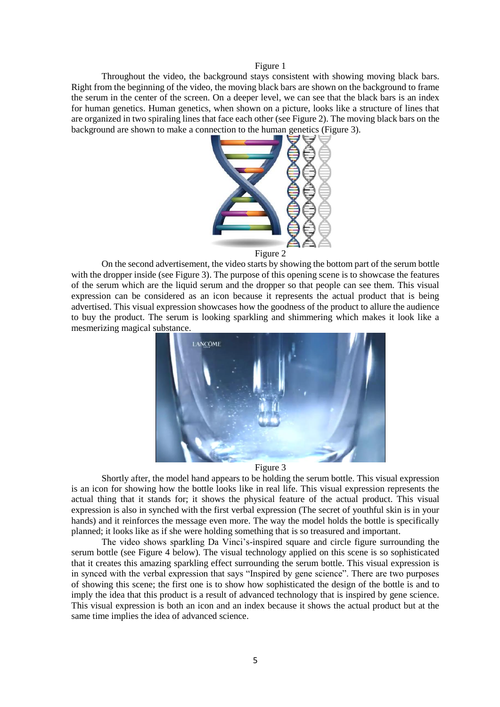Figure 1

Throughout the video, the background stays consistent with showing moving black bars. Right from the beginning of the video, the moving black bars are shown on the background to frame the serum in the center of the screen. On a deeper level, we can see that the black bars is an index for human genetics. Human genetics, when shown on a picture, looks like a structure of lines that are organized in two spiraling lines that face each other (see Figure 2). The moving black bars on the background are shown to make a connection to the human genetics (Figure 3).



Figure 2

On the second advertisement, the video starts by showing the bottom part of the serum bottle with the dropper inside (see Figure 3). The purpose of this opening scene is to showcase the features of the serum which are the liquid serum and the dropper so that people can see them. This visual expression can be considered as an icon because it represents the actual product that is being advertised. This visual expression showcases how the goodness of the product to allure the audience to buy the product. The serum is looking sparkling and shimmering which makes it look like a mesmerizing magical substance.





Shortly after, the model hand appears to be holding the serum bottle. This visual expression is an icon for showing how the bottle looks like in real life. This visual expression represents the actual thing that it stands for; it shows the physical feature of the actual product. This visual expression is also in synched with the first verbal expression (The secret of youthful skin is in your hands) and it reinforces the message even more. The way the model holds the bottle is specifically planned; it looks like as if she were holding something that is so treasured and important.

The video shows sparkling Da Vinci's-inspired square and circle figure surrounding the serum bottle (see Figure 4 below). The visual technology applied on this scene is so sophisticated that it creates this amazing sparkling effect surrounding the serum bottle. This visual expression is in synced with the verbal expression that says "Inspired by gene science". There are two purposes of showing this scene; the first one is to show how sophisticated the design of the bottle is and to imply the idea that this product is a result of advanced technology that is inspired by gene science. This visual expression is both an icon and an index because it shows the actual product but at the same time implies the idea of advanced science.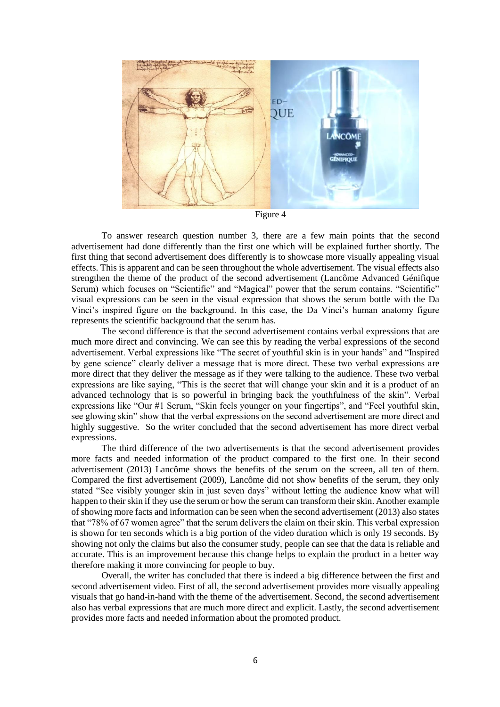

Figure 4

To answer research question number 3, there are a few main points that the second advertisement had done differently than the first one which will be explained further shortly. The first thing that second advertisement does differently is to showcase more visually appealing visual effects. This is apparent and can be seen throughout the whole advertisement. The visual effects also strengthen the theme of the product of the second advertisement (Lancôme Advanced Génifique Serum) which focuses on "Scientific" and "Magical" power that the serum contains. "Scientific" visual expressions can be seen in the visual expression that shows the serum bottle with the Da Vinci's inspired figure on the background. In this case, the Da Vinci's human anatomy figure represents the scientific background that the serum has.

The second difference is that the second advertisement contains verbal expressions that are much more direct and convincing. We can see this by reading the verbal expressions of the second advertisement. Verbal expressions like "The secret of youthful skin is in your hands" and "Inspired by gene science" clearly deliver a message that is more direct. These two verbal expressions are more direct that they deliver the message as if they were talking to the audience. These two verbal expressions are like saying, "This is the secret that will change your skin and it is a product of an advanced technology that is so powerful in bringing back the youthfulness of the skin". Verbal expressions like "Our #1 Serum, "Skin feels younger on your fingertips", and "Feel youthful skin, see glowing skin" show that the verbal expressions on the second advertisement are more direct and highly suggestive. So the writer concluded that the second advertisement has more direct verbal expressions.

The third difference of the two advertisements is that the second advertisement provides more facts and needed information of the product compared to the first one. In their second advertisement (2013) Lancôme shows the benefits of the serum on the screen, all ten of them. Compared the first advertisement (2009), Lancôme did not show benefits of the serum, they only stated "See visibly younger skin in just seven days" without letting the audience know what will happen to their skin if they use the serum or how the serum can transform their skin. Another example of showing more facts and information can be seen when the second advertisement (2013) also states that "78% of 67 women agree" that the serum delivers the claim on their skin. This verbal expression is shown for ten seconds which is a big portion of the video duration which is only 19 seconds. By showing not only the claims but also the consumer study, people can see that the data is reliable and accurate. This is an improvement because this change helps to explain the product in a better way therefore making it more convincing for people to buy.

Overall, the writer has concluded that there is indeed a big difference between the first and second advertisement video. First of all, the second advertisement provides more visually appealing visuals that go hand-in-hand with the theme of the advertisement. Second, the second advertisement also has verbal expressions that are much more direct and explicit. Lastly, the second advertisement provides more facts and needed information about the promoted product.